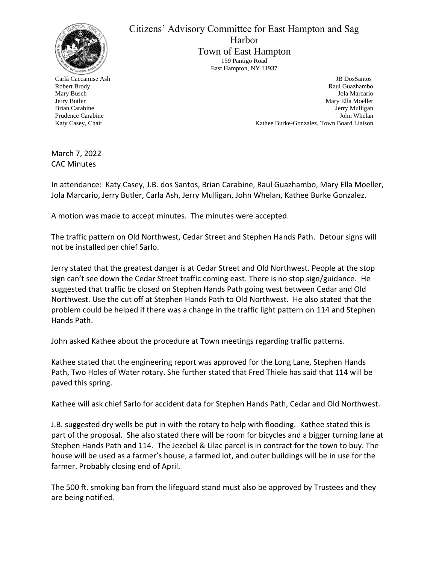

Carlà Caccamise Ash Robert Brody Mary Busch Jerry Butler Brian Carabine Prudence Carabine Katy Casey, Chair

Citizens' Advisory Committee for East Hampton and Sag Harbor Town of East Hampton 159 Pantigo Road East Hampton, NY 11937

> JB DosSantos Raul Guazhambo Jola Marcario Mary Ella Moeller Jerry Mulligan John Whelan Kathee Burke-Gonzalez, Town Board Liaison

March 7, 2022 CAC Minutes

In attendance: Katy Casey, J.B. dos Santos, Brian Carabine, Raul Guazhambo, Mary Ella Moeller, Jola Marcario, Jerry Butler, Carla Ash, Jerry Mulligan, John Whelan, Kathee Burke Gonzalez.

A motion was made to accept minutes. The minutes were accepted.

The traffic pattern on Old Northwest, Cedar Street and Stephen Hands Path. Detour signs will not be installed per chief Sarlo.

Jerry stated that the greatest danger is at Cedar Street and Old Northwest. People at the stop sign can't see down the Cedar Street traffic coming east. There is no stop sign/guidance. He suggested that traffic be closed on Stephen Hands Path going west between Cedar and Old Northwest. Use the cut off at Stephen Hands Path to Old Northwest. He also stated that the problem could be helped if there was a change in the traffic light pattern on 114 and Stephen Hands Path.

John asked Kathee about the procedure at Town meetings regarding traffic patterns.

Kathee stated that the engineering report was approved for the Long Lane, Stephen Hands Path, Two Holes of Water rotary. She further stated that Fred Thiele has said that 114 will be paved this spring.

Kathee will ask chief Sarlo for accident data for Stephen Hands Path, Cedar and Old Northwest.

J.B. suggested dry wells be put in with the rotary to help with flooding. Kathee stated this is part of the proposal. She also stated there will be room for bicycles and a bigger turning lane at Stephen Hands Path and 114. The Jezebel & Lilac parcel is in contract for the town to buy. The house will be used as a farmer's house, a farmed lot, and outer buildings will be in use for the farmer. Probably closing end of April.

The 500 ft. smoking ban from the lifeguard stand must also be approved by Trustees and they are being notified.